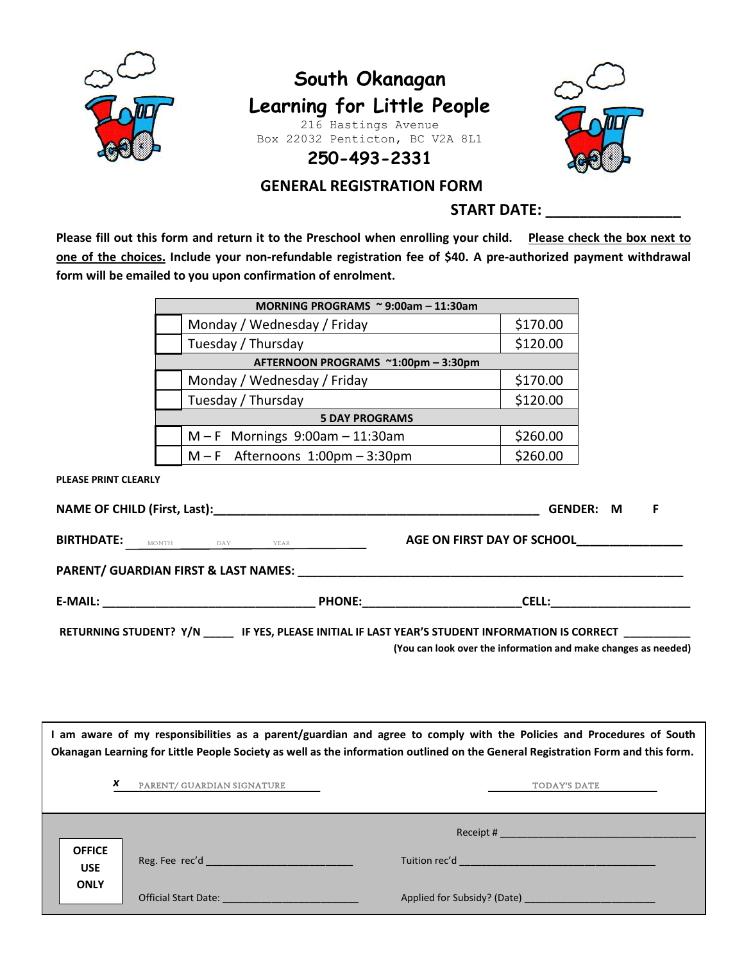

## **South Okanagan Learning for Little People** 216 Hastings Avenue Box 22032 Penticton, BC V2A 8L1



**GENERAL REGISTRATION FORM**

**250-493-2331**

**START DATE: \_\_\_\_\_\_\_\_\_\_\_\_\_\_\_\_**

**Please fill out this form and return it to the Preschool when enrolling your child. Please check the box next to one of the choices. Include your non-refundable registration fee of \$40. A pre-authorized payment withdrawal form will be emailed to you upon confirmation of enrolment.**

|                                                                        | MORNING PROGRAMS ~ 9:00am - 11:30am                                                                                                                                                                                                                                                   |                                                                |
|------------------------------------------------------------------------|---------------------------------------------------------------------------------------------------------------------------------------------------------------------------------------------------------------------------------------------------------------------------------------|----------------------------------------------------------------|
|                                                                        | Monday / Wednesday / Friday                                                                                                                                                                                                                                                           | \$170.00                                                       |
|                                                                        | Tuesday / Thursday                                                                                                                                                                                                                                                                    | \$120.00                                                       |
|                                                                        | AFTERNOON PROGRAMS ~1:00pm - 3:30pm                                                                                                                                                                                                                                                   |                                                                |
|                                                                        | Monday / Wednesday / Friday [19]                                                                                                                                                                                                                                                      | \$170.00                                                       |
|                                                                        | Tuesday / Thursday                                                                                                                                                                                                                                                                    | \$120.00                                                       |
|                                                                        | <b>5 DAY PROGRAMS</b>                                                                                                                                                                                                                                                                 |                                                                |
|                                                                        | $M - F$ Mornings 9:00am - 11:30am                                                                                                                                                                                                                                                     | \$260.00                                                       |
|                                                                        | $M - F$ Afternoons 1:00pm - 3:30pm                                                                                                                                                                                                                                                    | \$260.00                                                       |
| PLEASE PRINT CLEARLY                                                   |                                                                                                                                                                                                                                                                                       |                                                                |
|                                                                        |                                                                                                                                                                                                                                                                                       | <b>GENDER: M</b><br>F                                          |
| <b>BIRTHDATE:</b><br>AGE ON FIRST DAY OF SCHOOL<br>MONTH DAY YEAR YEAR |                                                                                                                                                                                                                                                                                       |                                                                |
|                                                                        |                                                                                                                                                                                                                                                                                       |                                                                |
|                                                                        |                                                                                                                                                                                                                                                                                       |                                                                |
|                                                                        | RETURNING STUDENT? Y/N ______ IF YES, PLEASE INITIAL IF LAST YEAR'S STUDENT INFORMATION IS CORRECT __________                                                                                                                                                                         | (You can look over the information and make changes as needed) |
| x                                                                      | I am aware of my responsibilities as a parent/guardian and agree to comply with the Policies and Procedures of South<br>Okanagan Learning for Little People Society as well as the information outlined on the General Registration Form and this form.<br>PARENT/ GUARDIAN SIGNATURE | TODAY'S DATE                                                   |

Reg. Fee rec'd \_\_\_\_\_\_\_\_\_\_\_\_\_\_\_\_\_\_\_\_\_\_\_\_\_\_\_ Tuition rec'd \_\_\_\_\_\_\_\_\_\_\_\_\_\_\_\_\_\_\_\_\_\_\_\_\_\_\_\_\_\_\_\_\_\_\_\_ Official Start Date: \_\_\_\_\_\_\_\_\_\_\_\_\_\_\_\_\_\_\_\_\_\_\_\_\_ Applied for Subsidy? (Date) \_\_\_\_\_\_\_\_\_\_\_\_\_\_\_\_\_\_\_\_\_\_\_\_ **OFFICE USE ONLY**